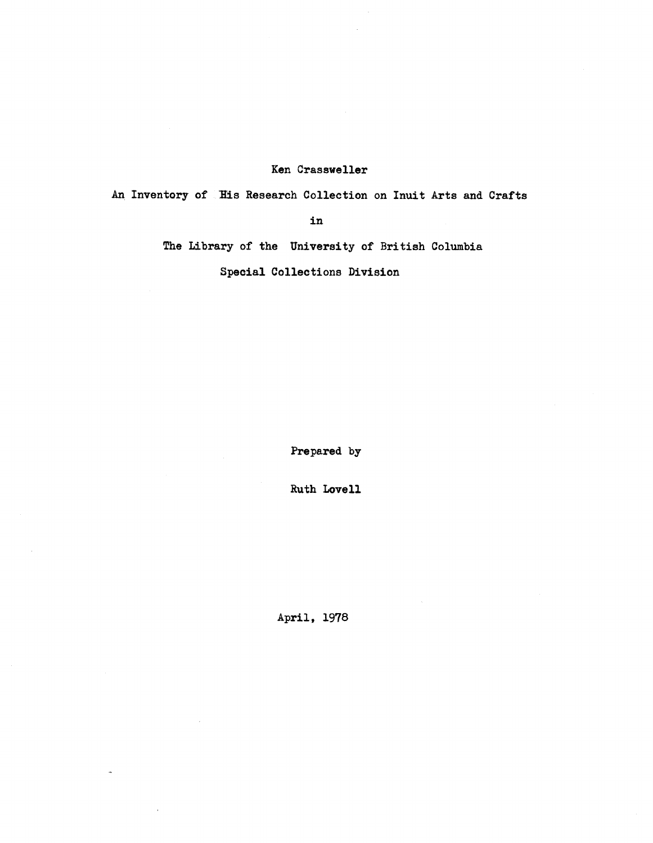#### Ken Crassweller

An Inventory of His Research Collection on Inuit Arts and Crafts

in

The Library of the University of British Columbia

Special Collections Division

Prepared by

**Ruth Lovell**

April, 1978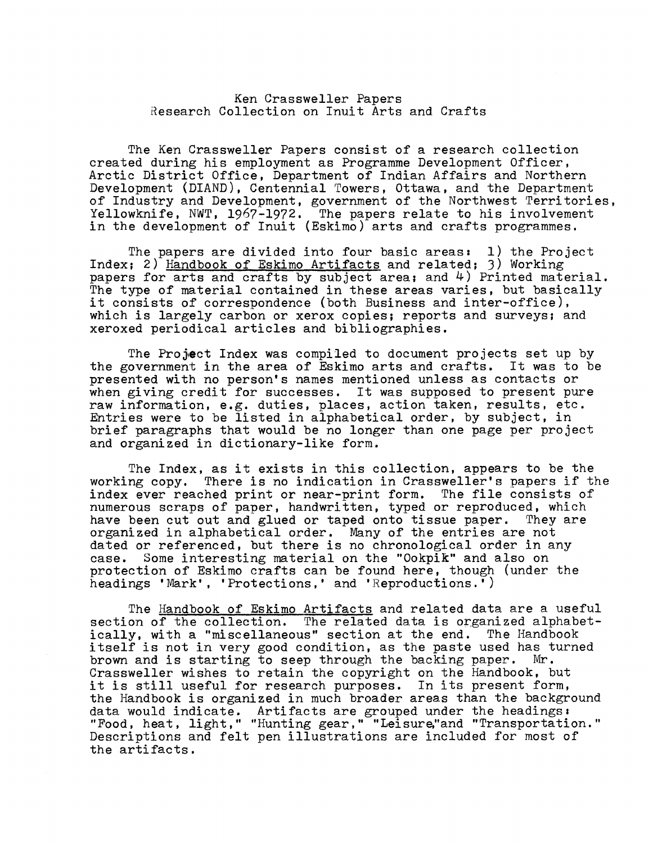#### Ken Crassweller Papers Research Collection on Inuit Arts and Crafts

The Ken Crassweller Papers consist of a research collection created during his employment as Programme Development Officer , Arctic District Office. Department of Indian Affairs and Northern Development (DIAND), Centennial Towers, Ottawa, and the Department of Industry and Development, government of the Northwest Territories, Yellowknife, NWT, 1967-1972. The papers relate to his involvement in the development of Inuit (Eskimo) arts and crafts programmes.

The papers are divided into four basic areas:  $1)$  the Project Index; 2) Handbook of Eskimo Artifacts and related; 3) Working papers for arts and crafts by subject area; and 4) Printed material. The type of material contained in these areas varies, but basically it consists of correspondence (both Business and inter-office) , which is largely carbon or xerox copies; reports and surveys; and xeroxed periodical articles and bibliographies .

The Project Index was compiled to document projects set up by the government in the area of Eskimo arts and crafts. It was to be presented with no person's names mentioned unless as contacts or when giving credit for successes. It was supposed to present pure raw information, e.g. duties, places, action taken, results, etc. Entries were to be listed in alphabetical order, by subject, in brief paragraphs that would be no longer than one page per project and organized in dictionary-like form .

The Index, as it exists in this collection, appears to be the working copy. There is no indication in Crassweller's papers if the index ever reached print or near-print form. The file consists of numerous scraps of paper, handwritten, typed or reproduced, which have been cut out and glued or taped onto tissue paper. They are organized in alphabetical order. Many of the entries are not dated or referenced, but there is no chronological order in any case. Some interesting material on the "Ookpik" and also on Some interesting material on the "Ookpik" and also on protection of Eskimo crafts can be found here, though (under the headings 'Mark', 'Protections,' and 'Reproductions .' )

The Handbook of Eskimo Artifacts and related data are a useful section of the collection. The related data is organized alphabet-<br>ically, with a "miscellaneous" section at the end. The Handbook ically, with a "miscellaneous" section at the end. itself is not in very good condition, as the paste used has turned<br>brown and is starting to seep through the backing paper. Mr. brown and is starting to seep through the backing paper. Crassweller wishes to retain the copyright on the Handbook, but it is still useful for research purposes. In its present form, the Handbook is organized in much broader areas than the background data would indicate. Artifacts are grouped under the headings: "Food, heat, light," "Hunting gear," "Leisure,"and "Transportation . " Descriptions and felt pen illustrations are included for most of the artifacts .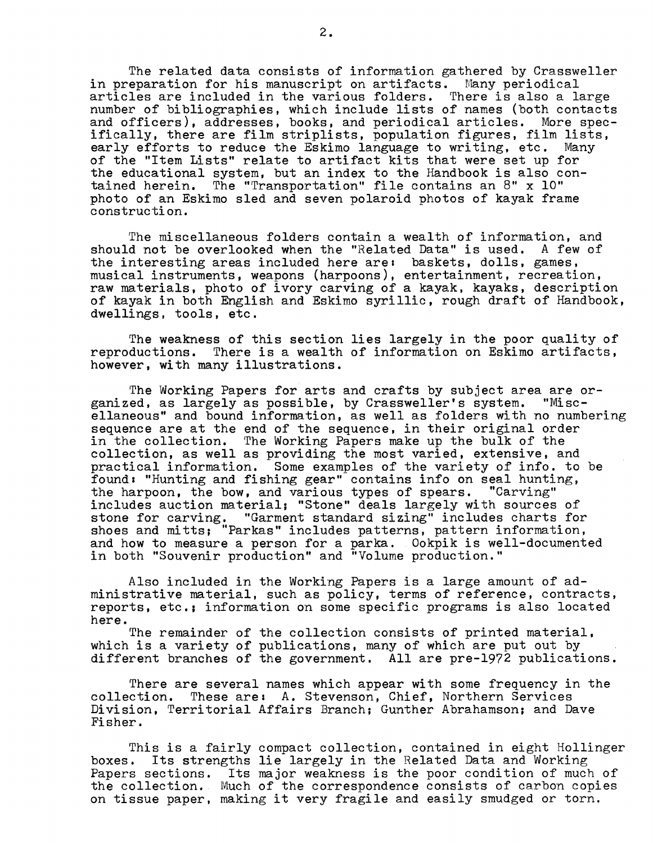The related data consists of information gathered by Crassweller in preparation for his manuscript on artifacts . Many periodical articles are included in the various folders. There is also a large number of bibliographies, which include lists of names (both contacts and officers), addresses, books, and periodical articles. More specifically, there are film striplists, population figures, film lists, early efforts to reduce the Eskimo language to writing, etc. Many of the "Item Lists" relate to artifact kits that were set up for the educational system, but an index to the Handbook is also contained herein. The "Transportation" file contains an  $8"$  x  $10"$ photo of an Eskimo sled and seven polaroid photos of kayak frame construction .

The miscellaneous folders contain a wealth of information, and should not be overlooked when the "Related Data" is used. A few of the interesting areas included here are: baskets, dolls, games, musical instruments, weapons (harpoons), entertainment, recreation , raw materials, photo of ivory carving of a kayak, kayaks, description of kayak in both English and Eskimo syrillic, rough draft of Handbook , dwellings, tools, etc.

The weakness of this section lies largely in the poor quality of reproductions. There is a wealth of information on Eskimo artifacts, however, with many illustrations .

The Working Papers for arts and crafts by subject area are organized, as largely as possible, by Crassweller's system. "Miscellaneous" and bound information, as well as folders with no numbering sequence are at the end of the sequence, in their original order in the collection. The Working Papers make up the bulk of the collection, as well as providing the most varied, extensive, and practical information. Some examples of the variety of info. to be found: "Hunting and fishing gear" contains info on seal hunting,<br>the harpoon, the bow, and various types of spears. "Carving" the harpoon, the bow, and various types of spears. includes auction material; "Stone" deals largely with sources of stone for carving. "Garment standard sizing" includes charts for shoes and mitts; "Parkas" includes patterns, pattern information, and how to measure a person for a parka. Ookpik is well-documented in both "Souvenir production" and "Volume production."

Also included in the Working Papers is a large amount of administrative material, such as policy, terms of reference, contracts , reports, etc.; information on some specific programs is also located here .

The remainder of the collection consists of printed material, which is a variety of publications, many of which are put out by different branches of the government. All are pre-1972 publications.

There are several names which appear with some frequency in the collection. These are: A. Stevenson. Chief. Northern Services Division, Territorial Affairs Branch; Gunther Abrahamson; and Dave Fisher .

This is a fairly compact collection, contained in eight Hollinger boxes. Its strengths lie largely in the Related Data and Working Papers sections. Its major weakness is the poor condition of much of the collection. Much of the correspondence consists of carbon copies on tissue paper, making it very fragile and easily smudged or torn.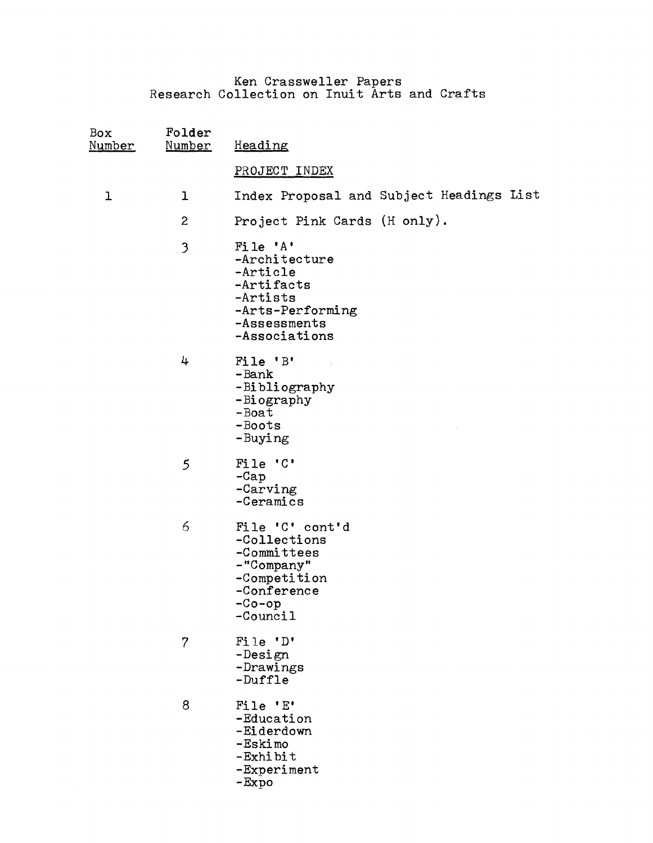Ken Crassweller Papers Research Collection on Inuit Arts and Crafts

| Box<br>Number | Folder<br>Number | Heading                                                                                                              |
|---------------|------------------|----------------------------------------------------------------------------------------------------------------------|
|               |                  | PROJECT INDEX                                                                                                        |
| 1             | ı                | Index Proposal and Subject Headings List                                                                             |
|               | $\boldsymbol{2}$ | Project Pink Cards (H only).                                                                                         |
|               | 3                | File 'A'<br>-Architecture<br>-Article<br>-Artifacts<br>-Artists<br>-Arts-Performing<br>-Assessments<br>-Associations |
|               | 4                | File 'B'<br>-Bank<br>-Bibliography<br>-Biography<br>$-$ Boat<br>-Boots<br>-Buying                                    |
|               | $\mathfrak{S}$   | File 'C'<br>$-cap$<br>-Carving<br>-Ceramics                                                                          |
|               | 6                | File 'C' cont'd<br>-Collections<br>-Committees<br>-"Company"<br>-Competition<br>-Conference<br>$-Co-op$<br>-Council  |
|               | $\overline{7}$   | File 'D'<br>-Design<br>-Drawings<br>-Duffle                                                                          |
|               | 8                | File 'E'<br>-Education<br>-Eiderdown<br>-Eskimo<br>$-Exh$ ibit<br>-Experiment<br>-Expo                               |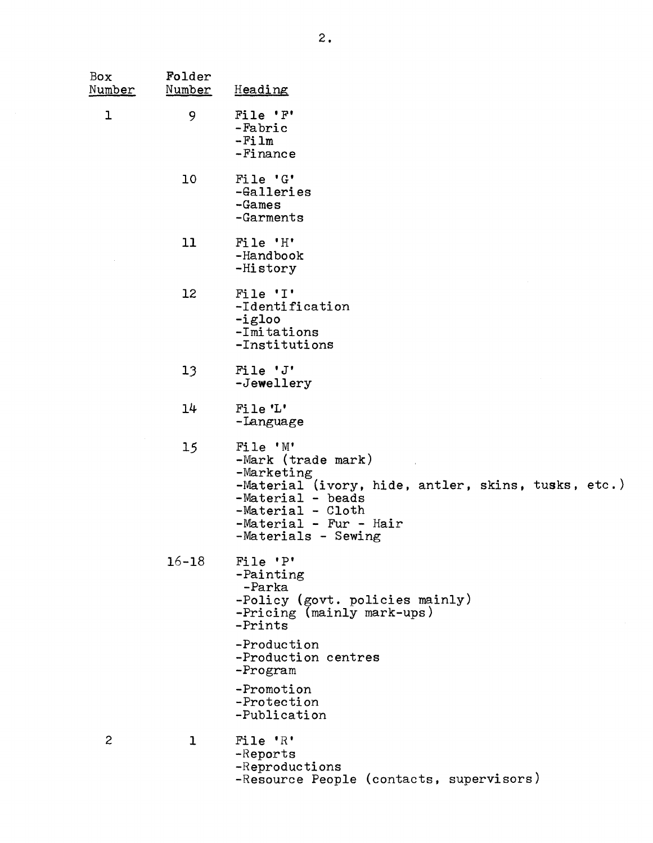| Box<br>Number | Folder<br>Number | Heading                                                                                                                                                                                              |
|---------------|------------------|------------------------------------------------------------------------------------------------------------------------------------------------------------------------------------------------------|
| $\mathbf 1$   | 9                | File 'F'<br>-Fabric<br>$-Film$<br>$-Fi$ nance                                                                                                                                                        |
|               | 10               | File 'G'<br>-Galleries<br>$-Games$<br>-Garments                                                                                                                                                      |
|               | 11               | File 'H'<br>-Handbook<br>$-Hi story$                                                                                                                                                                 |
|               | 12               | File 'I'<br>-Identification<br>$-igloo$<br>-Imitations<br>-Institutions                                                                                                                              |
|               | 13               | File 'J'<br>-Jewellery                                                                                                                                                                               |
|               | 14               | File 'L'<br>-Language                                                                                                                                                                                |
|               | 15               | File 'M'<br>$-Mark$ (trade mark)<br>$-Marketing$<br>-Material (ivory, hide, antler, skins, tusks, etc.)<br>-Material - beads<br>$-Material - Cloth$<br>-Material - Fur - Hair<br>-Materials - Sewing |
|               | $16 - 18$        | File 'P'<br>-Painting<br>-Parka<br>-Policy (govt. policies mainly)<br>-Pricing (mainly mark-ups)<br>-Prints                                                                                          |
|               |                  | -Production<br>-Production centres<br>$-$ Program                                                                                                                                                    |
|               |                  | -Promotion<br>-Protection<br>-Publication                                                                                                                                                            |
| $\mathbf{2}$  | $\mathbf{1}$     | File 'R'<br>$-Reports$<br>$-Reproduce$<br>-Resource People (contacts, supervisors)                                                                                                                   |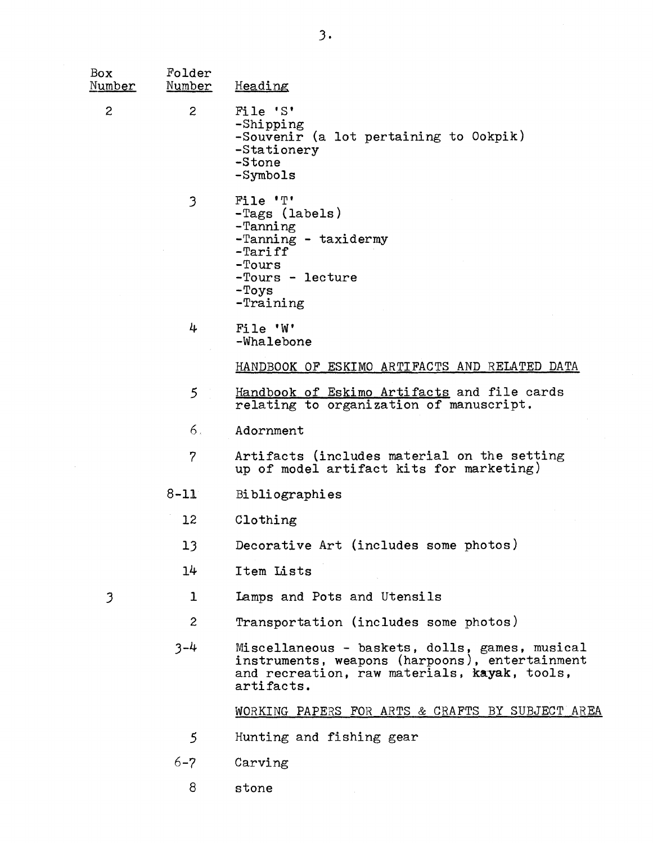| Box<br>Number  | Folder<br>Number | Heading                                                                                                                                                        |
|----------------|------------------|----------------------------------------------------------------------------------------------------------------------------------------------------------------|
| $\overline{c}$ | $\overline{c}$   | File 'S'<br>-Shipping<br>-Souvenir (a lot pertaining to Ookpik)<br>-Stationery<br>-Stone<br>-Symbols                                                           |
|                | 3                | File 'T'<br>-Tags (labels)<br>-Tanning<br>-Tanning - taxidermy<br>$-$ Tariff<br>$-Tours$<br>-Tours - lecture<br>$-Toys$<br>$-$ Training                        |
|                | 4                | File 'W'<br>-Whalebone                                                                                                                                         |
|                |                  | HANDBOOK OF ESKIMO ARTIFACTS AND RELATED DATA                                                                                                                  |
|                | $5\overline{)}$  | Handbook of Eskimo Artifacts and file cards<br>relating to organization of manuscript.                                                                         |
|                | 6.               | Adornment                                                                                                                                                      |
|                | $\overline{7}$   | Artifacts (includes material on the setting<br>up of model artifact kits for marketing)                                                                        |
|                | $8 - 11$         | Bibliographies                                                                                                                                                 |
|                | 12               | Clothing                                                                                                                                                       |
|                | 13               | Decorative Art (includes some photos)                                                                                                                          |
|                | 14               | Item Lists                                                                                                                                                     |
| 3              | $\mathbf{1}$     | Lamps and Pots and Utensils                                                                                                                                    |
|                | $\mathbf{2}$     | Transportation (includes some photos)                                                                                                                          |
|                | $3 - 4$          | Miscellaneous - baskets, dolls, games, musical<br>instruments, weapons (harpoons), entertainment<br>and recreation, raw materials, kayak, tools,<br>artifacts. |
|                |                  | WORKING PAPERS FOR ARTS & CRAFTS BY SUBJECT AREA                                                                                                               |
|                | 5                | Hunting and fishing gear                                                                                                                                       |
|                | $6 - 7$          | Carving                                                                                                                                                        |
|                | 8                | stone                                                                                                                                                          |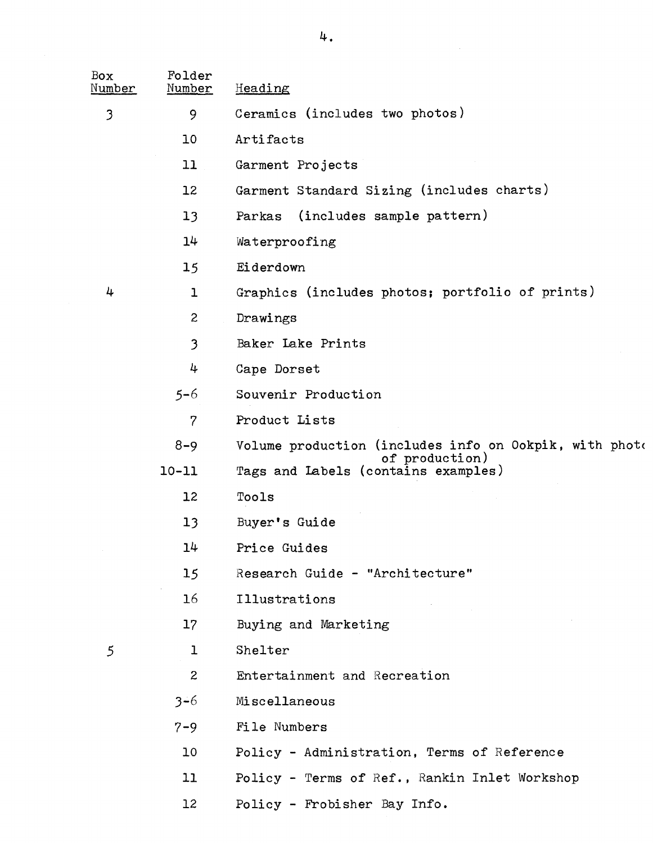| Box<br>Number        | Folder<br>Number | Heading                                                                  |
|----------------------|------------------|--------------------------------------------------------------------------|
| 3                    | 9                | Ceramics (includes two photos)                                           |
|                      | 10               | Artifacts                                                                |
|                      | 11               | Garment Projects                                                         |
|                      | 12               | Garment Standard Sizing (includes charts)                                |
|                      | 13               | (includes sample pattern)<br>Parkas                                      |
|                      | 14               | Waterproofing                                                            |
|                      | 15               | Eiderdown                                                                |
| 4                    | 1                | Graphics (includes photos; portfolio of prints)                          |
|                      | 2                | Drawings                                                                 |
|                      | 3                | Baker Lake Prints                                                        |
|                      | 4                | Cape Dorset                                                              |
|                      | $5 - 6$          | Souvenir Production                                                      |
|                      | 7                | Product Lists                                                            |
| $8 - 9$<br>$10 - 11$ |                  | Volume production (includes info on Ookpik, with photo<br>of production) |
|                      |                  | Tags and Labels (contains examples)                                      |
|                      | 12               | Tools                                                                    |
|                      | 13               | Buyer's Guide                                                            |
|                      | 14               | Price Guides                                                             |
|                      | 15               | Research Guide - "Architecture"                                          |
|                      | 16               | Illustrations                                                            |
|                      | 17 <sup>2</sup>  | Buying and Marketing                                                     |
| 5                    | $\mathbf{1}$     | Shelter                                                                  |
|                      | $\mathbf{2}$     | Entertainment and Recreation                                             |
|                      | $3 - 6$          | Miscellaneous                                                            |
|                      | $7 - 9$          | File Numbers                                                             |
|                      | 10               | Policy - Administration, Terms of Reference                              |
|                      | 11               | Policy - Terms of Ref., Rankin Inlet Workshop                            |
|                      | 12 <sup>2</sup>  | Policy - Frobisher Bay Info.                                             |

 $\mathcal{A}^{\pm}$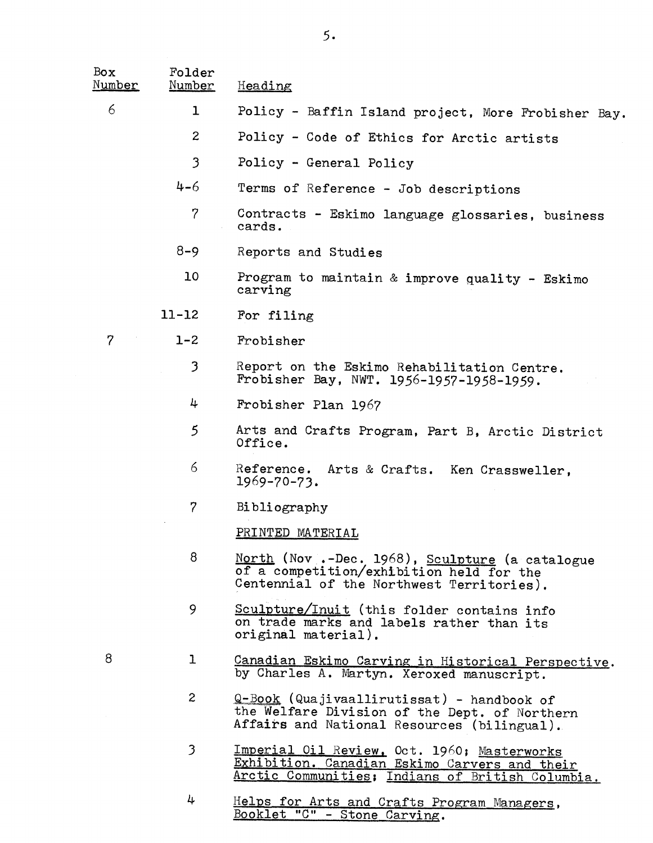| Box<br>Number | Folder<br>Number | Heading                                                                                                                                          |  |
|---------------|------------------|--------------------------------------------------------------------------------------------------------------------------------------------------|--|
| 6             | 1                | Policy - Baffin Island project, More Frobisher Bay.                                                                                              |  |
|               | $\overline{c}$   | Policy - Code of Ethics for Arctic artists                                                                                                       |  |
|               | 3                | Policy - General Policy                                                                                                                          |  |
|               | $4 - 6$          | Terms of Reference - Job descriptions                                                                                                            |  |
|               | $\overline{7}$   | Contracts - Eskimo language glossaries, business<br>cards.                                                                                       |  |
|               | $8 - 9$          | Reports and Studies                                                                                                                              |  |
|               | 10               | Program to maintain & improve quality - Eskimo<br>carving                                                                                        |  |
|               | $11 - 12$        | For filing                                                                                                                                       |  |
| 7             | $1 - 2$          | Frobisher                                                                                                                                        |  |
|               | $\mathfrak{Z}$   | Report on the Eskimo Rehabilitation Centre.<br>Frobisher Bay, NWT. 1956-1957-1958-1959.                                                          |  |
|               | 4                | Frobisher Plan 1967                                                                                                                              |  |
|               | $\mathfrak{S}$   | Arts and Crafts Program, Part B, Arctic District<br>Office.                                                                                      |  |
|               | 6                | Reference.<br>Arts & Crafts. Ken Crassweller,<br>$1969 - 70 - 73.$                                                                               |  |
|               | 7                | Bibliography                                                                                                                                     |  |
|               |                  | PRINTED MATERIAL                                                                                                                                 |  |
|               | 8                | North (Nov .-Dec. 1968), Sculpture (a catalogue<br>of a competition/exhibition held for the<br>Centennial of the Northwest Territories).         |  |
|               | 9                | Sculpture/Inuit (this folder contains info<br>on trade marks and labels rather than its<br>original material).                                   |  |
| 8             | $\mathbf{1}$     | Canadian Eskimo Carving in Historical Perspective.<br>by Charles A. Martyn. Xeroxed manuscript.                                                  |  |
|               | $\overline{c}$   | Q-Book (Quajivaallirutissat) - handbook of<br>the Welfare Division of the Dept. of Northern<br>Affairs and National Resources (bilingual).       |  |
|               | 3                | Imperial Oil Review, Oct. 1960; Masterworks<br>Exhibition. Canadian Eskimo Carvers and their<br>Arctic Communities; Indians of British Columbia. |  |

<sup>4</sup> Helps for Arts and Crafts Program Managers, Booklet "C" - Stone Carving .

5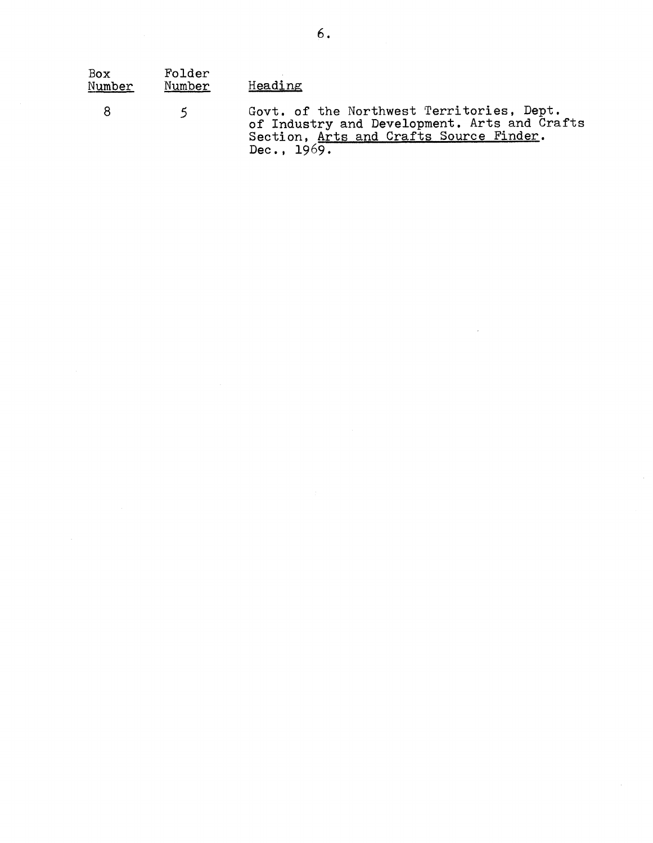| Box<br>Number | Folder<br>Number | Heading                                                                                                                                               |
|---------------|------------------|-------------------------------------------------------------------------------------------------------------------------------------------------------|
| -8            | 5.               | Govt. of the Northwest Territories, Dept.<br>of Industry and Development. Arts and Crafts<br>Section, Arts and Crafts Source Finder.<br>Dec., $1969.$ |

 $\label{eq:2.1} \frac{1}{\sqrt{2}}\int_{\mathbb{R}^3}\frac{1}{\sqrt{2}}\left(\frac{1}{\sqrt{2}}\right)^2\frac{1}{\sqrt{2}}\left(\frac{1}{\sqrt{2}}\right)^2\frac{1}{\sqrt{2}}\left(\frac{1}{\sqrt{2}}\right)^2.$ 

 $\hat{\mathcal{A}}$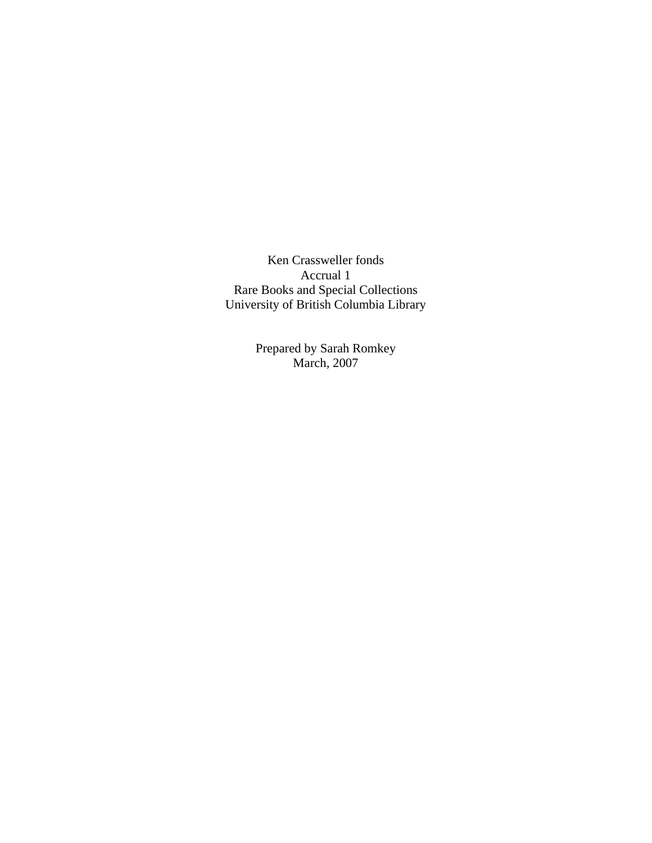Ken Crassweller fonds Accrual 1 Rare Books and Special Collections University of British Columbia Library

> Prepared by Sarah Romkey March, 2007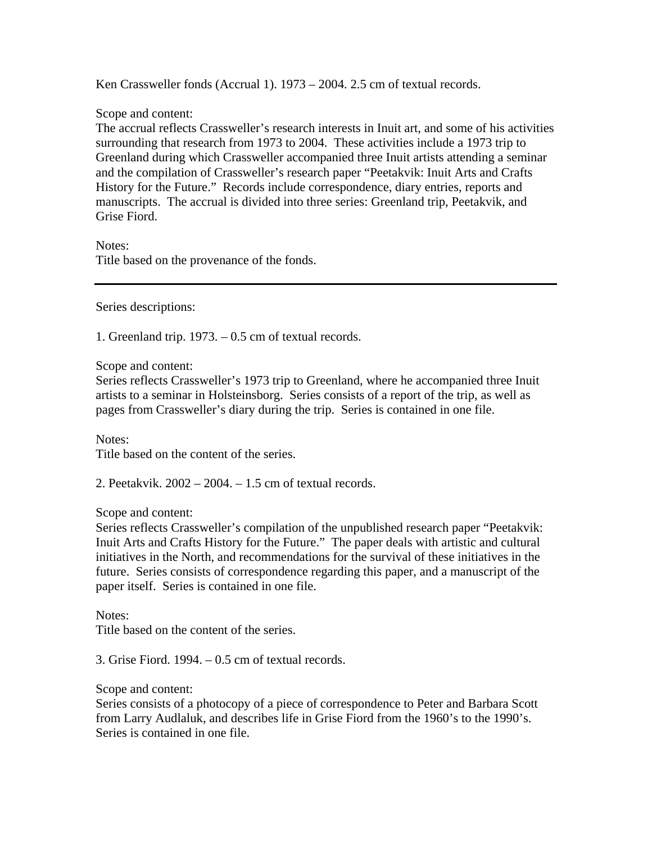Ken Crassweller fonds (Accrual 1). 1973 – 2004. 2.5 cm of textual records.

Scope and content:

The accrual reflects Crassweller's research interests in Inuit art, and some of his activities surrounding that research from 1973 to 2004. These activities include a 1973 trip to Greenland during which Crassweller accompanied three Inuit artists attending a seminar and the compilation of Crassweller's research paper "Peetakvik: Inuit Arts and Crafts History for the Future." Records include correspondence, diary entries, reports and manuscripts. The accrual is divided into three series: Greenland trip, Peetakvik, and Grise Fiord.

Notes: Title based on the provenance of the fonds.

Series descriptions:

1. Greenland trip. 1973. – 0.5 cm of textual records.

Scope and content:

Series reflects Crassweller's 1973 trip to Greenland, where he accompanied three Inuit artists to a seminar in Holsteinsborg. Series consists of a report of the trip, as well as pages from Crassweller's diary during the trip. Series is contained in one file.

Notes:

Title based on the content of the series.

2. Peetakvik. 2002 – 2004. – 1.5 cm of textual records.

Scope and content:

Series reflects Crassweller's compilation of the unpublished research paper "Peetakvik: Inuit Arts and Crafts History for the Future." The paper deals with artistic and cultural initiatives in the North, and recommendations for the survival of these initiatives in the future. Series consists of correspondence regarding this paper, and a manuscript of the paper itself. Series is contained in one file.

Notes:

Title based on the content of the series.

3. Grise Fiord. 1994. – 0.5 cm of textual records.

Scope and content:

Series consists of a photocopy of a piece of correspondence to Peter and Barbara Scott from Larry Audlaluk, and describes life in Grise Fiord from the 1960's to the 1990's. Series is contained in one file.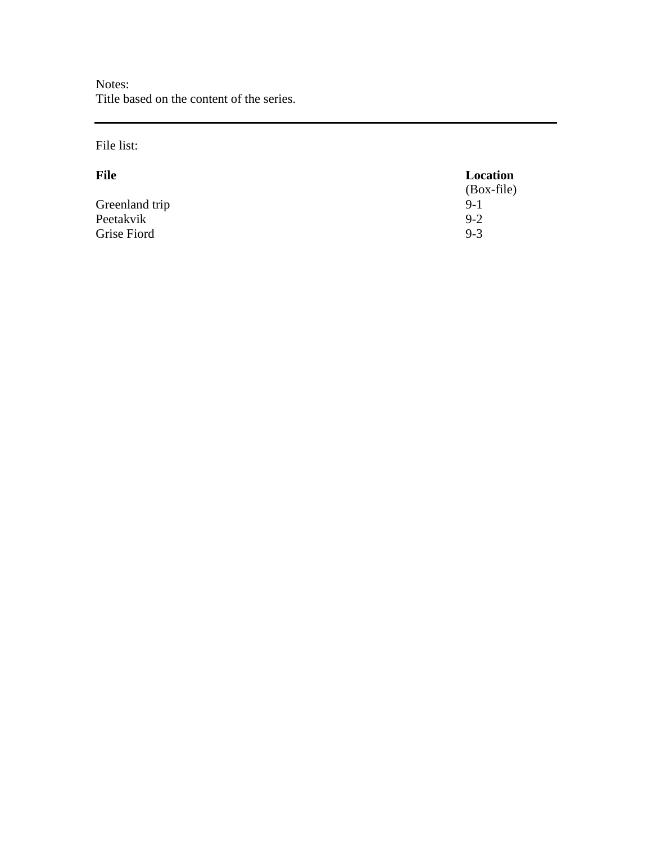Notes: Title based on the content of the series.

### File list:

| <b>File</b>    | Location     |
|----------------|--------------|
|                | $(Box-file)$ |
| Greenland trip | $9-1$        |
| Peetakvik      | $9 - 2$      |
| Grise Fiord    | $9 - 3$      |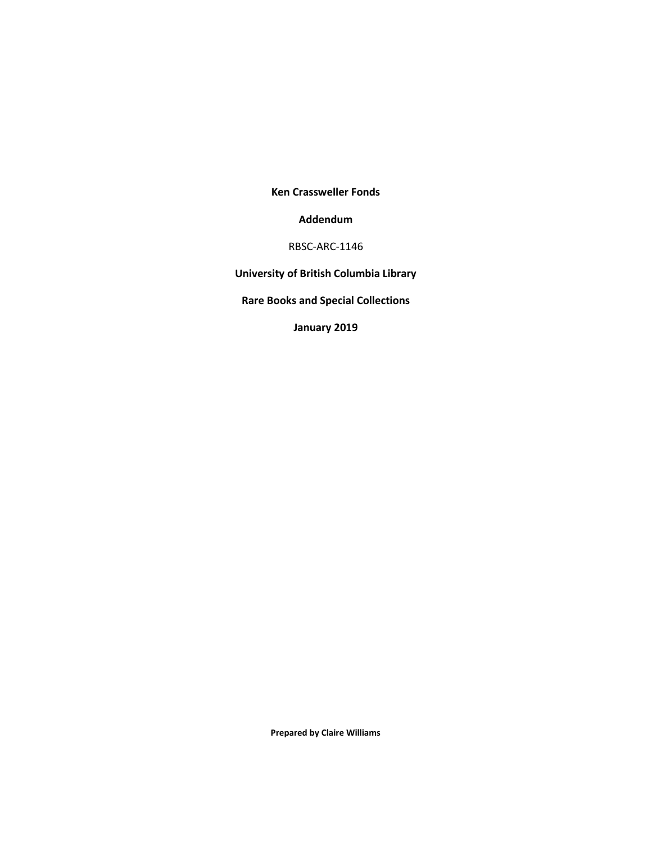**Ken Crassweller Fonds**

#### **Addendum**

RBSC-ARC-1146

**University of British Columbia Library**

**Rare Books and Special Collections**

**January 2019**

**Prepared by Claire Williams**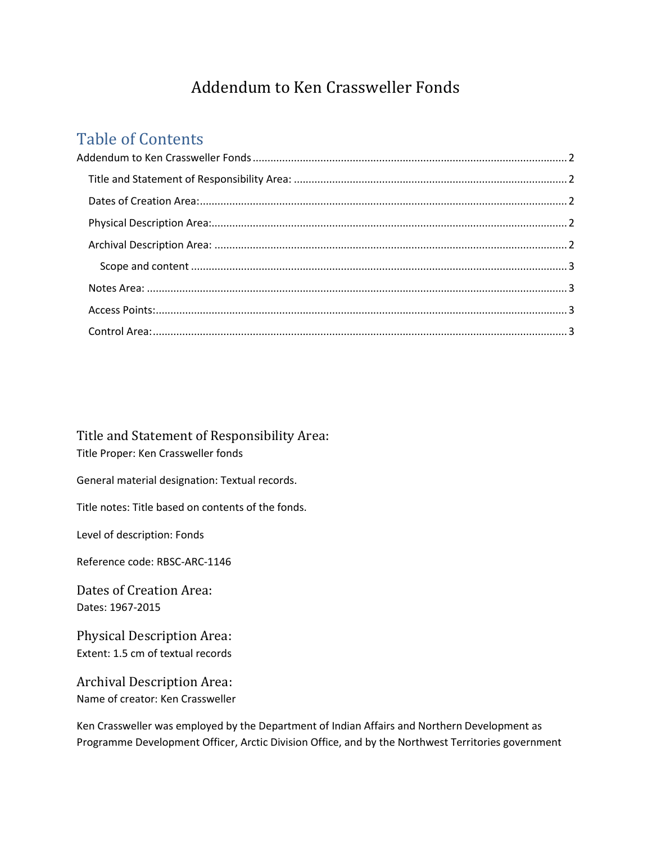# Addendum to Ken Crassweller Fonds

## <span id="page-13-0"></span>Table of Contents

<span id="page-13-1"></span>Title and Statement of Responsibility Area: Title Proper: Ken Crassweller fonds

General material designation: Textual records.

Title notes: Title based on contents of the fonds.

Level of description: Fonds

Reference code: RBSC-ARC-1146

<span id="page-13-2"></span>Dates of Creation Area: Dates: 1967-2015

<span id="page-13-3"></span>Physical Description Area: Extent: 1.5 cm of textual records

<span id="page-13-4"></span>Archival Description Area: Name of creator: Ken Crassweller

Ken Crassweller was employed by the Department of Indian Affairs and Northern Development as Programme Development Officer, Arctic Division Office, and by the Northwest Territories government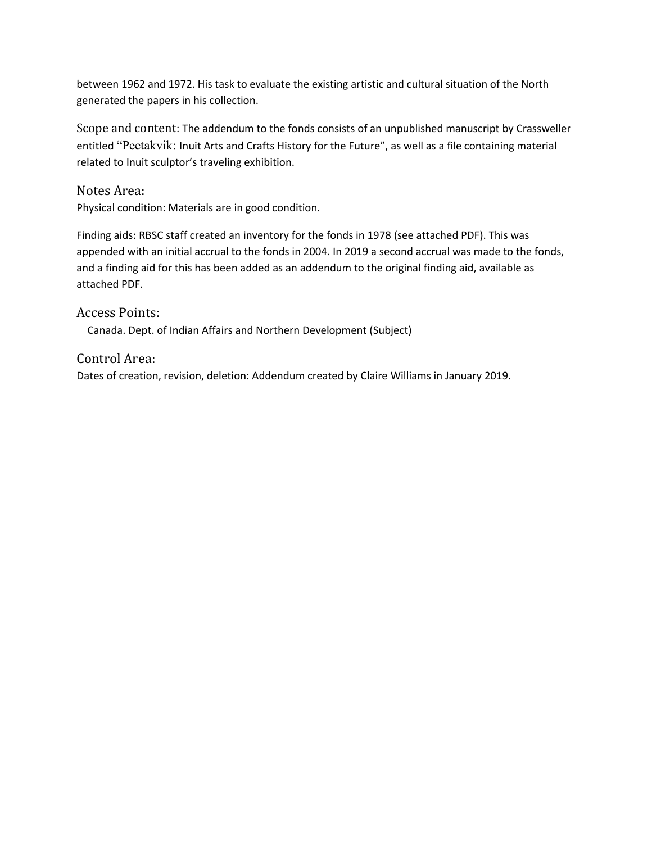between 1962 and 1972. His task to evaluate the existing artistic and cultural situation of the North generated the papers in his collection.

<span id="page-14-0"></span>Scope and content: The addendum to the fonds consists of an unpublished manuscript by Crassweller entitled "Peetakvik: Inuit Arts and Crafts History for the Future", as well as a file containing material related to Inuit sculptor's traveling exhibition.

<span id="page-14-1"></span>Notes Area:

Physical condition: Materials are in good condition.

Finding aids: RBSC staff created an inventory for the fonds in 1978 (see attached PDF). This was appended with an initial accrual to the fonds in 2004. In 2019 a second accrual was made to the fonds, and a finding aid for this has been added as an addendum to the original finding aid, available as attached PDF.

<span id="page-14-2"></span>Access Points: Canada. Dept. of Indian Affairs and Northern Development (Subject)

<span id="page-14-3"></span>Control Area: Dates of creation, revision, deletion: Addendum created by Claire Williams in January 2019.